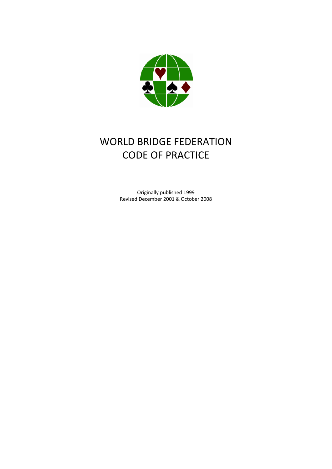

# WORLD BRIDGE FEDERATION CODE OF PRACTICE

Originally published 1999 Revised December 2001 & October 2008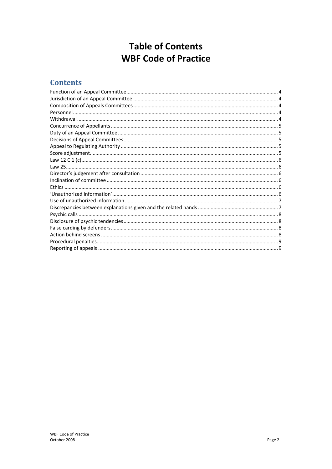## **Table of Contents WBF Code of Practice**

### **Contents**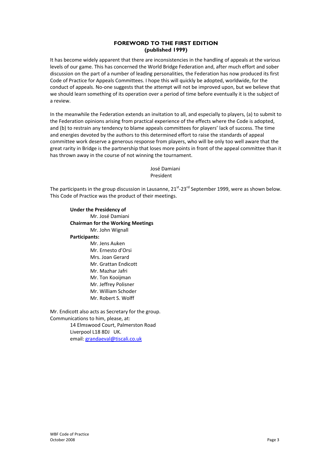#### **FOREWORD TO THE FIRST EDITION (published 1999)**

It has become widely apparent that there are inconsistencies in the handling of appeals at the various levels of our game. This has concerned the World Bridge Federation and, after much effort and sober discussion on the part of a number of leading personalities, the Federation has now produced its first Code of Practice for Appeals Committees. I hope this will quickly be adopted, worldwide, for the conduct of appeals. No‐one suggests that the attempt will not be improved upon, but we believe that we should learn something of its operation over a period of time before eventually it is the subject of a review.

In the meanwhile the Federation extends an invitation to all, and especially to players, (a) to submit to the Federation opinions arising from practical experience of the effects where the Code is adopted, and (b) to restrain any tendency to blame appeals committees for players' lack of success. The time and energies devoted by the authors to this determined effort to raise the standards of appeal committee work deserve a generous response from players, who will be only too well aware that the great rarity in Bridge is the partnership that loses more points in front of the appeal committee than it has thrown away in the course of not winning the tournament.

> José Damiani President

The participants in the group discussion in Lausanne, 21<sup>st</sup>-23<sup>rd</sup> September 1999, were as shown below. This Code of Practice was the product of their meetings.

**Under the Presidency of** Mr. José Damiani **Chairman for the Working Meetings** Mr. John Wignall **Participants:** Mr. Jens Auken Mr. Ernesto d'Orsi Mrs. Joan Gerard Mr. Grattan Endicott Mr. Mazhar Jafri Mr. Ton Kooijman Mr. Jeffrey Polisner Mr. William Schoder Mr. Robert S. Wolff

Mr. Endicott also acts as Secretary for the group. Communications to him, please, at: 14 Elmswood Court, Palmerston Road Liverpool L18 8DJ UK. email: grandaeval@tiscali.co.uk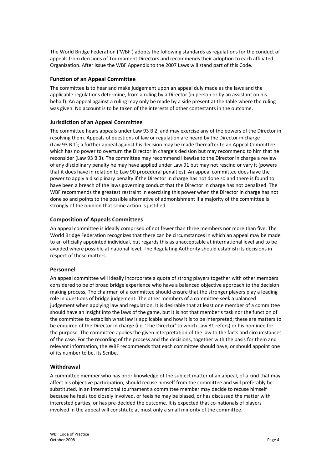The World Bridge Federation ('WBF') adopts the following standards as regulations for the conduct of appeals from decisions of Tournament Directors and recommends their adoption to each affiliated Organization. After issue the WBF Appendix to the 2007 Laws will stand part of this Code.

#### **Function of an Appeal Committee**

The committee is to hear and make judgement upon an appeal duly made as the laws and the applicable regulations determine, from a ruling by a Director (in person or by an assistant on his behalf). An appeal against a ruling may only be made by a side present at the table where the ruling was given. No account is to be taken of the interests of other contestants in the outcome.

#### **Jurisdiction of an Appeal Committee**

The committee hears appeals under Law 93 B 2, and may exercise any of the powers of the Director in resolving them. Appeals of questions of law or regulation are heard by the Director in charge (Law 93 B 1); a further appeal against his decision may be made thereafter to an Appeal Committee which has no power to overturn the Director in charge's decision but may recommend to him that he reconsider (Law 93 B 3). The committee may recommend likewise to the Director in charge a review of any disciplinary penalty he may have applied under Law 91 but may not rescind or vary it (powers that it does have in relation to Law 90 procedural penalties). An appeal committee does have the power to apply a disciplinary penalty if the Director in charge has not done so and there is found to have been a breach of the laws governing conduct that the Director in charge has not penalized. The WBF recommends the greatest restraint in exercising this power when the Director in charge has not done so and points to the possible alternative of admonishment if a majority of the committee is strongly of the opinion that some action is justified.

#### **Composition of Appeals Committees**

An appeal committee is ideally comprised of not fewer than three members nor more than five. The World Bridge Federation recognizes that there can be circumstances in which an appeal may be made to an officially appointed individual, but regards this as unacceptable at international level and to be avoided where possible at national level. The Regulating Authority should establish its decisions in respect of these matters.

#### **Personnel**

An appeal committee will ideally incorporate a quota of strong players together with other members considered to be of broad bridge experience who have a balanced objective approach to the decision making process. The chairman of a committee should ensure that the stronger players play a leading role in questions of bridge judgement. The other members of a committee seek a balanced judgement when applying law and regulation. It is desirable that at least one member of a committee should have an insight into the laws of the game, but it is not that member's task nor the function of the committee to establish what law is applicable and how it is to be interpreted; these are matters to be enquired of the Director in charge (i.e. 'The Director' to which Law 81 refers) or his nominee for the purpose. The committee applies the given interpretation of the law to the facts and circumstances of the case. For the recording of the process and the decisions, together with the basis for them and relevant information, the WBF recommends that each committee should have, or should appoint one of its number to be, its Scribe.

#### **Withdrawal**

A committee member who has prior knowledge of the subject matter of an appeal, of a kind that may affect his objective participation, should recuse himself from the committee and will preferably be substituted. In an international tournament a committee member may decide to recuse himself because he feels too closely involved, or feels he may be biased, or has discussed the matter with interested parties, or has pre-decided the outcome. It is expected that co-nationals of players involved in the appeal will constitute at most only a small minority of the committee.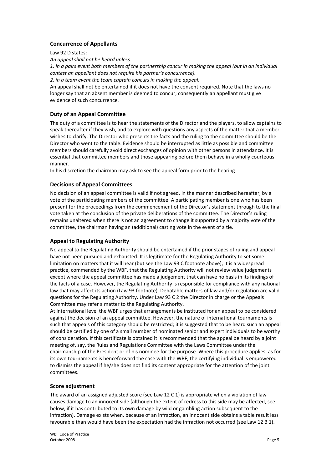#### **Concurrence of Appellants**

Law 92 D states:

*An appeal shall not be heard unless*

1. in a pairs event both members of the partnership concur in making the appeal (but in an individual *contest an appellant does not require his partner's concurrence).*

*2. in a team event the team captain concurs in making the appeal*.

An appeal shall not be entertained if it does not have the consent required. Note that the laws no longer say that an absent member is deemed to concur; consequently an appellant must give evidence of such concurrence.

#### **Duty of an Appeal Committee**

The duty of a committee is to hear the statements of the Director and the players, to allow captains to speak thereafter if they wish, and to explore with questions any aspects of the matter that a member wishes to clarify. The Director who presents the facts and the ruling to the committee should be the Director who went to the table. Evidence should be interrupted as little as possible and committee members should carefully avoid direct exchanges of opinion with other persons in attendance. It is essential that committee members and those appearing before them behave in a wholly courteous manner.

In his discretion the chairman may ask to see the appeal form prior to the hearing.

#### **Decisions of Appeal Committees**

No decision of an appeal committee is valid if not agreed, in the manner described hereafter, by a vote of the participating members of the committee. A participating member is one who has been present for the proceedings from the commencement of the Director's statement through to the final vote taken at the conclusion of the private deliberations of the committee. The Director's ruling remains unaltered when there is not an agreement to change it supported by a majority vote of the committee, the chairman having an (additional) casting vote in the event of a tie.

#### **Appeal to Regulating Authority**

No appeal to the Regulating Authority should be entertained if the prior stages of ruling and appeal have not been pursued and exhausted. It is legitimate for the Regulating Authority to set some limitation on matters that it will hear (but see the Law 93 C footnote above); it is a widespread practice, commended by the WBF, that the Regulating Authority will not review value judgements except where the appeal committee has made a judgement that can have no basis in its findings of the facts of a case. However, the Regulating Authority is responsible for compliance with any national law that may affect its action (Law 93 footnote). Debatable matters of law and/or regulation are valid questions for the Regulating Authority. Under Law 93 C 2 the Director in charge or the Appeals Committee may refer a matter to the Regulating Authority.

At international level the WBF urges that arrangements be instituted for an appeal to be considered against the decision of an appeal committee. However, the nature of international tournaments is such that appeals of this category should be restricted; it is suggested that to be heard such an appeal should be certified by one of a small number of nominated senior and expert individuals to be worthy of consideration. If this certificate is obtained it is recommended that the appeal be heard by a joint meeting of, say, the Rules and Regulations Committee with the Laws Committee under the chairmanship of the President or of his nominee for the purpose. Where this procedure applies, as for its own tournaments is henceforward the case with the WBF, the certifying individual is empowered to dismiss the appeal if he/she does not find its content appropriate for the attention of the joint committees.

#### **Score adjustment**

The award of an assigned adjusted score (see Law 12 C 1) is appropriate when a violation of law causes damage to an innocent side (although the extent of redress to this side may be affected, see below, if it has contributed to its own damage by wild or gambling action subsequent to the infraction). Damage exists when, because of an infraction, an innocent side obtains a table result less favourable than would have been the expectation had the infraction not occurred (see Law 12 B 1).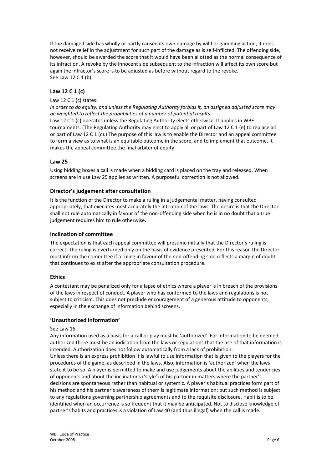If the damaged side has wholly or partly caused its own damage by wild or gambling action, it does not receive relief in the adjustment for such part of the damage as is self-inflicted. The offending side, however, should be awarded the score that it would have been allotted as the normal consequence of its infraction. A revoke by the innocent side subsequent to the infraction will affect its own score but again the infractor's score is to be adjusted as before without regard to the revoke. See Law 12 C 1 (b).

#### **Law 12 C 1 (c)**

#### Law 12 C 1 (c) states:

*In order to do equity, and unless the Regulating Authority forbids it, an assigned adjusted score may be weighted to reflect the probabilities of a number of potential results.* Law 12 C 1 (c) operates unless the Regulating Authority elects otherwise. It applies in WBF tournaments. (The Regulating Authority may elect to apply all or part of Law 12 C 1 (e) to replace all or part of Law 12 C 1 (c).) The purpose of this law is to enable the Director and an appeal committee

to form a view as to what is an equitable outcome in the score, and to implement that outcome. It

#### **Law 25**

Using bidding boxes a call is made when a bidding card is placed on the tray and released. When screens are in use Law 25 applies as written. A purposeful correction is not allowed.

#### **Director's judgement after consultation**

makes the appeal committee the final arbiter of equity.

It is the function of the Director to make a ruling in a judgemental matter, having consulted appropriately, that executes most accurately the intention of the laws. The desire is that the Director shall not rule automatically in favour of the non-offending side when he is in no doubt that a true judgement requires him to rule otherwise.

#### **Inclination of committee**

The expectation is that each appeal committee will presume initially that the Director's ruling is correct. The ruling is overturned only on the basis of evidence presented. For this reason the Director must inform the committee if a ruling in favour of the non-offending side reflects a margin of doubt that continues to exist after the appropriate consultation procedure.

#### **Ethics**

A contestant may be penalized only for a lapse of ethics where a player is in breach of the provisions of the laws in respect of conduct. A player who has conformed to the laws and regulations is not subject to criticism. This does not preclude encouragement of a generous attitude to opponents, especially in the exchange of information behind screens.

#### **'Unauthorized information'**

#### See Law 16.

Any information used as a basis for a call or play must be 'authorized'. For information to be deemed authorized there must be an indication from the laws or regulations that the use of that information is intended. Authorization does not follow automatically from a lack of prohibition. Unless there is an express prohibition it is lawful to use information that is given to the players for the procedures of the game, as described in the laws. Also, information is 'authorized' when the laws state it to be so. A player is permitted to make and use judgements about the abilities and tendencies of opponents and about the inclinations ('style') of his partner in matters where the partner's decisions are spontaneous rather than habitual or systemic. A player's habitual practices form part of his method and his partner's awareness of them is legitimate information; but such method is subject to any regulations governing partnership agreements and to the requisite disclosure. Habit is to be identified when an occurrence is so frequent that it may be anticipated. Not to disclose knowledge of partner's habits and practices is a violation of Law 40 (and thus illegal) when the call is made.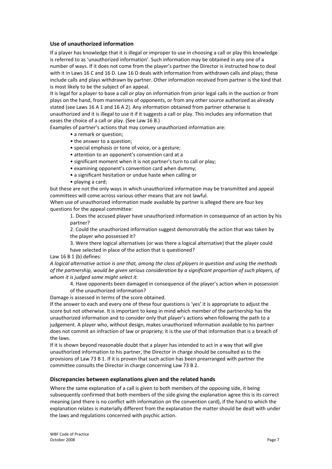#### **Use of unauthorized information**

If a player has knowledge that it is illegal or improper to use in choosing a call or play this knowledge is referred to as 'unauthorized information'. Such information may be obtained in any one of a number of ways. If it does not come from the player's partner the Director is instructed how to deal with it in Laws 16 C and 16 D. Law 16 D deals with information from withdrawn calls and plays; these include calls and plays withdrawn by partner. Other information received from partner is the kind that is most likely to be the subject of an appeal.

It is legal for a player to base a call or play on information from prior legal calls in the auction or from plays on the hand, from mannerisms of opponents, or from any other source authorized as already stated (see Laws 16 A 1 and 16 A 2). Any information obtained from partner otherwise is unauthorized and it is illegal to use it if it suggests a call or play. This includes any information that eases the choice of a call or play. (See Law 16 B.)

Examples of partner's actions that may convey unauthorized information are:

- a remark or question;
- the answer to a question;
- special emphasis or tone of voice, or a gesture;
- attention to an opponent's convention card at a
- significant moment when it is not partner's turn to call or play;
- examining opponent's convention card when dummy;
- a significant hesitation or undue haste when calling or
- playing a card;

but these are not the only ways in which unauthorized information may be transmitted and appeal committees will come across various other means that are not lawful.

When use of unauthorized information made available by partner is alleged there are four key questions for the appeal committee:

1. Does the accused player have unauthorized information in consequence of an action by his partner?

2. Could the unauthorized information suggest demonstrably the action that was taken by the player who possessed it?

3. Were there logical alternatives (or was there a logical alternative) that the player could have selected in place of the action that is questioned?

Law 16 B 1 (b) defines:

A logical alternative action is one that, among the class of players in question and using the methods *of the partnership, would be given serious consideration by a significant proportion of such players, of whom it is judged some might select it.*

4. Have opponents been damaged in consequence of the player's action when in possession

of the unauthorized information?

Damage is assessed in terms of the score obtained.

If the answer to each and every one of these four questions is 'yes' it is appropriate to adjust the score but not otherwise. It is important to keep in mind which member of the partnership has the unauthorized information and to consider only that player's actions when following the path to a judgement. A player who, without design, makes unauthorized information available to his partner does not commit an infraction of law or propriety; it is the use of that information that is a breach of the laws.

If it is shown beyond reasonable doubt that a player has intended to act in a way that will give unauthorized information to his partner, the Director in charge should be consulted as to the provisions of Law 73 B 1. If it is proven that such action has been prearranged with partner the committee consults the Director in charge concerning Law 73 B 2.

#### **Discrepancies between explanations given and the related hands**

Where the same explanation of a call is given to both members of the opposing side, it being subsequently confirmed that both members of the side giving the explanation agree this is its correct meaning (and there is no conflict with information on the convention card), if the hand to which the explanation relates is materially different from the explanation the matter should be dealt with under the laws and regulations concerned with psychic action.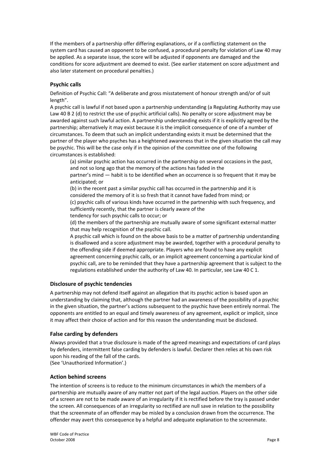If the members of a partnership offer differing explanations, or if a conflicting statement on the system card has caused an opponent to be confused, a procedural penalty for violation of Law 40 may be applied. As a separate issue, the score will be adjusted if opponents are damaged and the conditions for score adjustment are deemed to exist. (See earlier statement on score adjustment and also later statement on procedural penalties.)

#### **Psychic calls**

Definition of Psychic Call: "A deliberate and gross misstatement of honour strength and/or of suit length".

A psychic call is lawful if not based upon a partnership understanding (a Regulating Authority may use Law 40 B 2 (d) to restrict the use of psychic artificial calls). No penalty or score adjustment may be awarded against such lawful action. A partnership understanding exists if it is explicitly agreed by the partnership; alternatively it may exist because it is the implicit consequence of one of a number of circumstances. To deem that such an implicit understanding exists it must be determined that the partner of the player who psyches has a heightened awareness that in the given situation the call may be psychic. This will be the case only if in the opinion of the committee one of the following circumstances is established:

(a) similar psychic action has occurred in the partnership on several occasions in the past, and not so long ago that the memory of the actions has faded in the

partner's mind — habit is to be identified when an occurrence is so frequent that it may be anticipated; or

(b) in the recent past a similar psychic call has occurred in the partnership and it is considered the memory of it is so fresh that it cannot have faded from mind; or (c) psychic calls of various kinds have occurred in the partnership with such frequency, and sufficiently recently, that the partner is clearly aware of the

tendency for such psychic calls to occur; or

(d) the members of the partnership are mutually aware of some significant external matter that may help recognition of the psychic call.

A psychic call which is found on the above basis to be a matter of partnership understanding is disallowed and a score adjustment may be awarded, together with a procedural penalty to the offending side if deemed appropriate. Players who are found to have any explicit agreement concerning psychic calls, or an implicit agreement concerning a particular kind of psychic call, are to be reminded that they have a partnership agreement that is subject to the regulations established under the authority of Law 40. In particular, see Law 40 C 1.

#### **Disclosure of psychic tendencies**

A partnership may not defend itself against an allegation that its psychic action is based upon an understanding by claiming that, although the partner had an awareness of the possibility of a psychic in the given situation, the partner's actions subsequent to the psychic have been entirely normal. The opponents are entitled to an equal and timely awareness of any agreement, explicit or implicit, since it may affect their choice of action and for this reason the understanding must be disclosed.

#### **False carding by defenders**

Always provided that a true disclosure is made of the agreed meanings and expectations of card plays by defenders, intermittent false carding by defenders is lawful. Declarer then relies at his own risk upon his reading of the fall of the cards.

(See 'Unauthorized Information'.)

#### **Action behind screens**

The intention of screens is to reduce to the minimum circumstances in which the members of a partnership are mutually aware of any matter not part of the legal auction. Players on the other side of a screen are not to be made aware of an irregularity if it is rectified before the tray is passed under the screen. All consequences of an irregularity so rectified are null save in relation to the possibility that the screenmate of an offender may be misled by a conclusion drawn from the occurrence. The offender may avert this consequence by a helpful and adequate explanation to the screenmate.